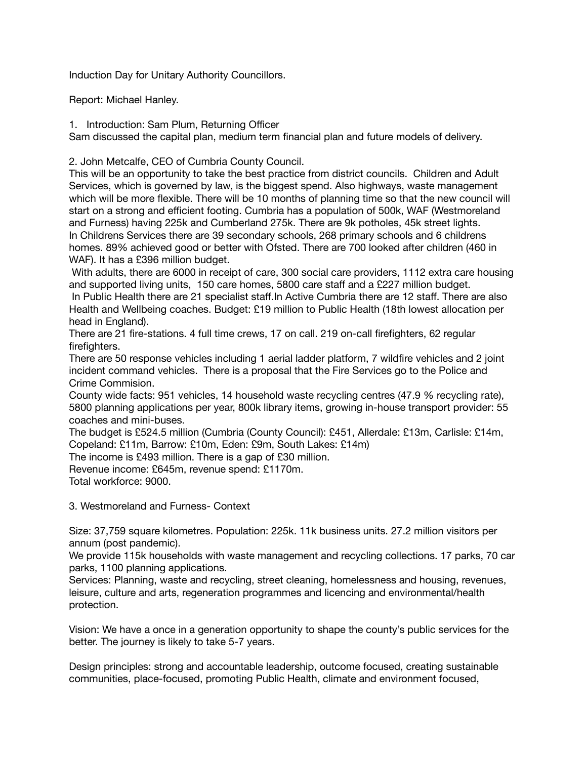Induction Day for Unitary Authority Councillors.

Report: Michael Hanley.

1. Introduction: Sam Plum, Returning Officer

Sam discussed the capital plan, medium term financial plan and future models of delivery.

2. John Metcalfe, CEO of Cumbria County Council.

This will be an opportunity to take the best practice from district councils. Children and Adult Services, which is governed by law, is the biggest spend. Also highways, waste management which will be more flexible. There will be 10 months of planning time so that the new council will start on a strong and efficient footing. Cumbria has a population of 500k, WAF (Westmoreland and Furness) having 225k and Cumberland 275k. There are 9k potholes, 45k street lights. In Childrens Services there are 39 secondary schools, 268 primary schools and 6 childrens homes. 89% achieved good or better with Ofsted. There are 700 looked after children (460 in WAF). It has a £396 million budget.

 With adults, there are 6000 in receipt of care, 300 social care providers, 1112 extra care housing and supported living units, 150 care homes, 5800 care staff and a £227 million budget.

 In Public Health there are 21 specialist staff.In Active Cumbria there are 12 staff. There are also Health and Wellbeing coaches. Budget: £19 million to Public Health (18th lowest allocation per head in England).

There are 21 fire-stations. 4 full time crews, 17 on call. 219 on-call firefighters, 62 regular firefighters.

There are 50 response vehicles including 1 aerial ladder platform, 7 wildfire vehicles and 2 joint incident command vehicles. There is a proposal that the Fire Services go to the Police and Crime Commision.

County wide facts: 951 vehicles, 14 household waste recycling centres (47.9 % recycling rate), 5800 planning applications per year, 800k library items, growing in-house transport provider: 55 coaches and mini-buses.

The budget is £524.5 million (Cumbria (County Council): £451, Allerdale: £13m, Carlisle: £14m, Copeland: £11m, Barrow: £10m, Eden: £9m, South Lakes: £14m)

The income is £493 million. There is a gap of £30 million.

Revenue income: £645m, revenue spend: £1170m.

Total workforce: 9000.

3. Westmoreland and Furness- Context

Size: 37,759 square kilometres. Population: 225k. 11k business units. 27.2 million visitors per annum (post pandemic).

We provide 115k households with waste management and recycling collections. 17 parks, 70 car parks, 1100 planning applications.

Services: Planning, waste and recycling, street cleaning, homelessness and housing, revenues, leisure, culture and arts, regeneration programmes and licencing and environmental/health protection.

Vision: We have a once in a generation opportunity to shape the county's public services for the better. The journey is likely to take 5-7 years.

Design principles: strong and accountable leadership, outcome focused, creating sustainable communities, place-focused, promoting Public Health, climate and environment focused,